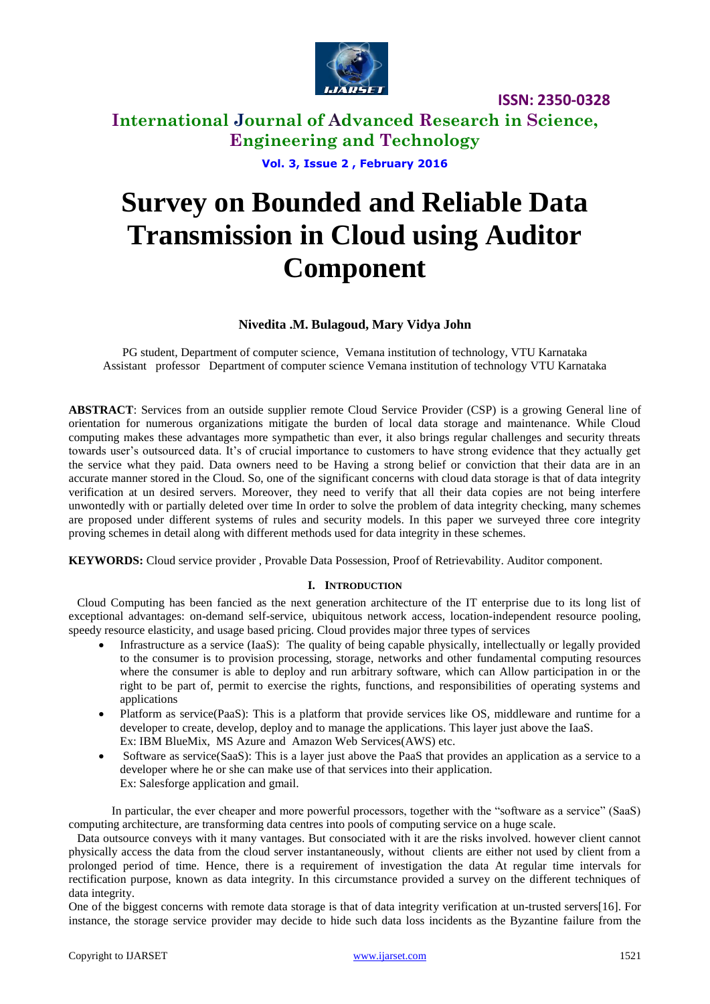

# **International Journal of Advanced Research in Science, Engineering and Technology**

**Vol. 3, Issue 2 , February 2016**

# **Survey on Bounded and Reliable Data Transmission in Cloud using Auditor Component**

#### **Nivedita .M. Bulagoud, Mary Vidya John**

PG student, Department of computer science, Vemana institution of technology, VTU Karnataka Assistant professor Department of computer science Vemana institution of technology VTU Karnataka

**ABSTRACT**: Services from an outside supplier remote Cloud Service Provider (CSP) is a growing General line of orientation for numerous organizations mitigate the burden of local data storage and maintenance. While Cloud computing makes these advantages more sympathetic than ever, it also brings regular challenges and security threats towards user's outsourced data. It's of crucial importance to customers to have strong evidence that they actually get the service what they paid. Data owners need to be Having a strong belief or conviction that their data are in an accurate manner stored in the Cloud. So, one of the significant concerns with cloud data storage is that of data integrity verification at un desired servers. Moreover, they need to verify that all their data copies are not being interfere unwontedly with or partially deleted over time In order to solve the problem of data integrity checking, many schemes are proposed under different systems of rules and security models. In this paper we surveyed three core integrity proving schemes in detail along with different methods used for data integrity in these schemes.

**KEYWORDS:** Cloud service provider , Provable Data Possession, Proof of Retrievability. Auditor component.

#### **I. INTRODUCTION**

Cloud Computing has been fancied as the next generation architecture of the IT enterprise due to its long list of exceptional advantages: on-demand self-service, ubiquitous network access, location-independent resource pooling, speedy resource elasticity, and usage based pricing. Cloud provides major three types of services

- Infrastructure as a service (IaaS): The quality of being capable physically, intellectually or legally provided to the consumer is to provision processing, storage, networks and other fundamental computing resources where the consumer is able to deploy and run arbitrary software, which can Allow participation in or the right to be part of, permit to exercise the rights, functions, and responsibilities of operating systems and applications
- Platform as service(PaaS): This is a platform that provide services like OS, middleware and runtime for a developer to create, develop, deploy and to manage the applications. This layer just above the IaaS. Ex: IBM BlueMix, MS Azure and Amazon Web Services(AWS) etc.
- Software as service(SaaS): This is a layer just above the PaaS that provides an application as a service to a developer where he or she can make use of that services into their application. Ex: Salesforge application and gmail.

In particular, the ever cheaper and more powerful processors, together with the "software as a service" (SaaS) computing architecture, are transforming data centres into pools of computing service on a huge scale.

Data outsource conveys with it many vantages. But consociated with it are the risks involved. however client cannot physically access the data from the cloud server instantaneously, without clients are either not used by client from a prolonged period of time. Hence, there is a requirement of investigation the data At regular time intervals for rectification purpose, known as data integrity. In this circumstance provided a survey on the different techniques of data integrity.

One of the biggest concerns with remote data storage is that of data integrity verification at un-trusted servers[16]. For instance, the storage service provider may decide to hide such data loss incidents as the Byzantine failure from the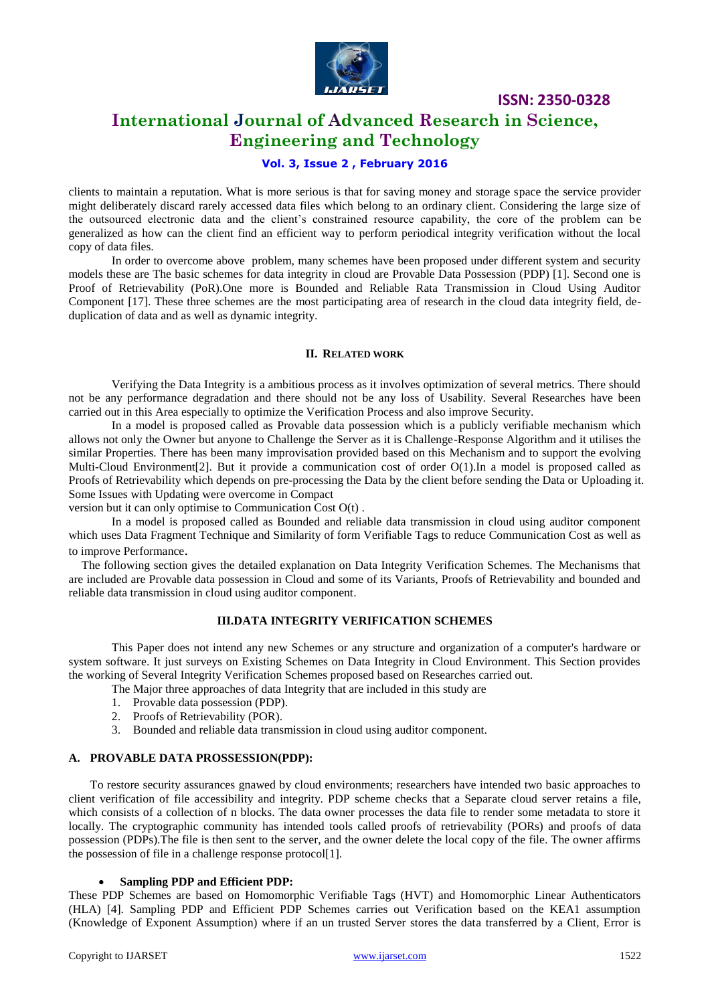

## **International Journal of Advanced Research in Science, Engineering and Technology**

#### **Vol. 3, Issue 2 , February 2016**

clients to maintain a reputation. What is more serious is that for saving money and storage space the service provider might deliberately discard rarely accessed data files which belong to an ordinary client. Considering the large size of the outsourced electronic data and the client's constrained resource capability, the core of the problem can be generalized as how can the client find an efficient way to perform periodical integrity verification without the local copy of data files.

In order to overcome above problem, many schemes have been proposed under different system and security models these are The basic schemes for data integrity in cloud are Provable Data Possession (PDP) [1]. Second one is Proof of Retrievability (PoR).One more is Bounded and Reliable Rata Transmission in Cloud Using Auditor Component [17]. These three schemes are the most participating area of research in the cloud data integrity field, deduplication of data and as well as dynamic integrity.

#### **II. RELATED WORK**

Verifying the Data Integrity is a ambitious process as it involves optimization of several metrics. There should not be any performance degradation and there should not be any loss of Usability. Several Researches have been carried out in this Area especially to optimize the Verification Process and also improve Security.

In a model is proposed called as Provable data possession which is a publicly verifiable mechanism which allows not only the Owner but anyone to Challenge the Server as it is Challenge-Response Algorithm and it utilises the similar Properties. There has been many improvisation provided based on this Mechanism and to support the evolving Multi-Cloud Environment[2]. But it provide a communication cost of order O(1).In a model is proposed called as Proofs of Retrievability which depends on pre-processing the Data by the client before sending the Data or Uploading it. Some Issues with Updating were overcome in Compact

version but it can only optimise to Communication Cost O(t) .

In a model is proposed called as Bounded and reliable data transmission in cloud using auditor component which uses Data Fragment Technique and Similarity of form Verifiable Tags to reduce Communication Cost as well as to improve Performance.

The following section gives the detailed explanation on Data Integrity Verification Schemes. The Mechanisms that are included are Provable data possession in Cloud and some of its Variants, Proofs of Retrievability and bounded and reliable data transmission in cloud using auditor component.

#### **III.DATA INTEGRITY VERIFICATION SCHEMES**

This Paper does not intend any new Schemes or any structure and organization of a computer's hardware or system software. It just surveys on Existing Schemes on Data Integrity in Cloud Environment. This Section provides the working of Several Integrity Verification Schemes proposed based on Researches carried out.

- The Major three approaches of data Integrity that are included in this study are
- 1. Provable data possession (PDP).
- 2. Proofs of Retrievability (POR).
- 3. Bounded and reliable data transmission in cloud using auditor component.

#### **A. PROVABLE DATA PROSSESSION(PDP):**

To restore security assurances gnawed by cloud environments; researchers have intended two basic approaches to client verification of file accessibility and integrity. PDP scheme checks that a Separate cloud server retains a file, which consists of a collection of n blocks. The data owner processes the data file to render some metadata to store it locally. The cryptographic community has intended tools called proofs of retrievability (PORs) and proofs of data possession (PDPs).The file is then sent to the server, and the owner delete the local copy of the file. The owner affirms the possession of file in a challenge response protocol[1].

#### **Sampling PDP and Efficient PDP:**

These PDP Schemes are based on Homomorphic Verifiable Tags (HVT) and Homomorphic Linear Authenticators (HLA) [4]. Sampling PDP and Efficient PDP Schemes carries out Verification based on the KEA1 assumption (Knowledge of Exponent Assumption) where if an un trusted Server stores the data transferred by a Client, Error is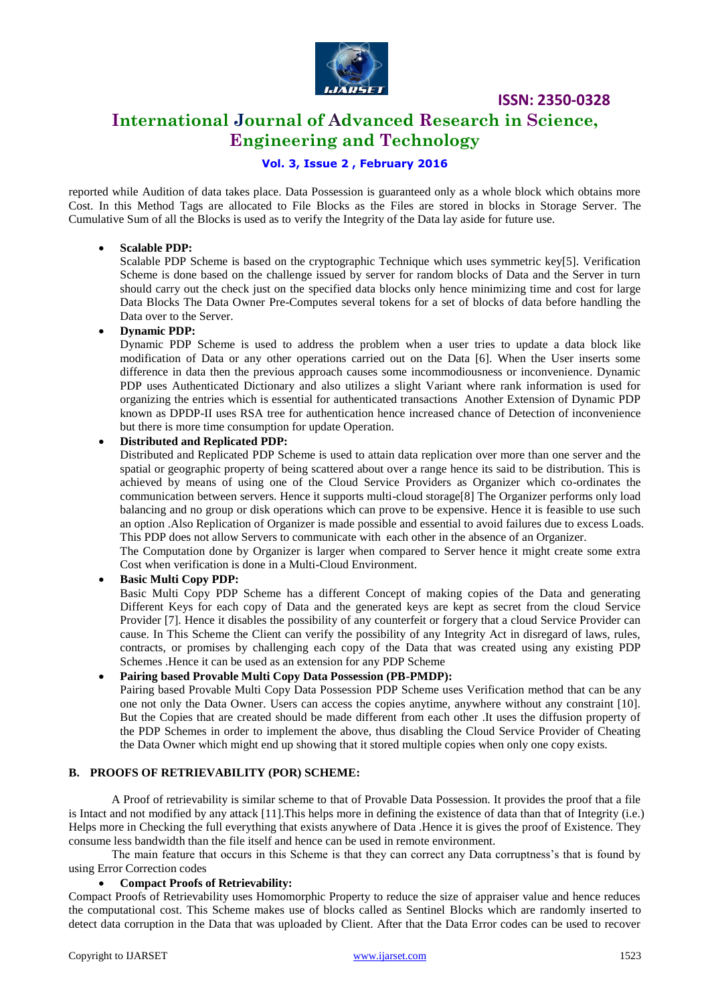

## **International Journal of Advanced Research in Science, Engineering and Technology**

#### **Vol. 3, Issue 2 , February 2016**

reported while Audition of data takes place. Data Possession is guaranteed only as a whole block which obtains more Cost. In this Method Tags are allocated to File Blocks as the Files are stored in blocks in Storage Server. The Cumulative Sum of all the Blocks is used as to verify the Integrity of the Data lay aside for future use.

#### **Scalable PDP:**

Scalable PDP Scheme is based on the cryptographic Technique which uses symmetric key[5]. Verification Scheme is done based on the challenge issued by server for random blocks of Data and the Server in turn should carry out the check just on the specified data blocks only hence minimizing time and cost for large Data Blocks The Data Owner Pre-Computes several tokens for a set of blocks of data before handling the Data over to the Server.

#### **Dynamic PDP:**

Dynamic PDP Scheme is used to address the problem when a user tries to update a data block like modification of Data or any other operations carried out on the Data [6]. When the User inserts some difference in data then the previous approach causes some incommodiousness or inconvenience. Dynamic PDP uses Authenticated Dictionary and also utilizes a slight Variant where rank information is used for organizing the entries which is essential for authenticated transactions Another Extension of Dynamic PDP known as DPDP-II uses RSA tree for authentication hence increased chance of Detection of inconvenience but there is more time consumption for update Operation.

#### **Distributed and Replicated PDP:**

Distributed and Replicated PDP Scheme is used to attain data replication over more than one server and the spatial or geographic property of being scattered about over a range hence its said to be distribution. This is achieved by means of using one of the Cloud Service Providers as Organizer which co-ordinates the communication between servers. Hence it supports multi-cloud storage[8] The Organizer performs only load balancing and no group or disk operations which can prove to be expensive. Hence it is feasible to use such an option .Also Replication of Organizer is made possible and essential to avoid failures due to excess Loads. This PDP does not allow Servers to communicate with each other in the absence of an Organizer.

The Computation done by Organizer is larger when compared to Server hence it might create some extra Cost when verification is done in a Multi-Cloud Environment.

#### **Basic Multi Copy PDP:**

Basic Multi Copy PDP Scheme has a different Concept of making copies of the Data and generating Different Keys for each copy of Data and the generated keys are kept as secret from the cloud Service Provider [7]. Hence it disables the possibility of any counterfeit or forgery that a cloud Service Provider can cause. In This Scheme the Client can verify the possibility of any Integrity Act in disregard of laws, rules, contracts, or promises by challenging each copy of the Data that was created using any existing PDP Schemes .Hence it can be used as an extension for any PDP Scheme

#### **Pairing based Provable Multi Copy Data Possession (PB-PMDP):**

Pairing based Provable Multi Copy Data Possession PDP Scheme uses Verification method that can be any one not only the Data Owner. Users can access the copies anytime, anywhere without any constraint [10]. But the Copies that are created should be made different from each other .It uses the diffusion property of the PDP Schemes in order to implement the above, thus disabling the Cloud Service Provider of Cheating the Data Owner which might end up showing that it stored multiple copies when only one copy exists.

#### **B. PROOFS OF RETRIEVABILITY (POR) SCHEME:**

A Proof of retrievability is similar scheme to that of Provable Data Possession. It provides the proof that a file is Intact and not modified by any attack [11].This helps more in defining the existence of data than that of Integrity (i.e.) Helps more in Checking the full everything that exists anywhere of Data .Hence it is gives the proof of Existence. They consume less bandwidth than the file itself and hence can be used in remote environment.

The main feature that occurs in this Scheme is that they can correct any Data corruptness's that is found by using Error Correction codes

#### **Compact Proofs of Retrievability:**

Compact Proofs of Retrievability uses Homomorphic Property to reduce the size of appraiser value and hence reduces the computational cost. This Scheme makes use of blocks called as Sentinel Blocks which are randomly inserted to detect data corruption in the Data that was uploaded by Client. After that the Data Error codes can be used to recover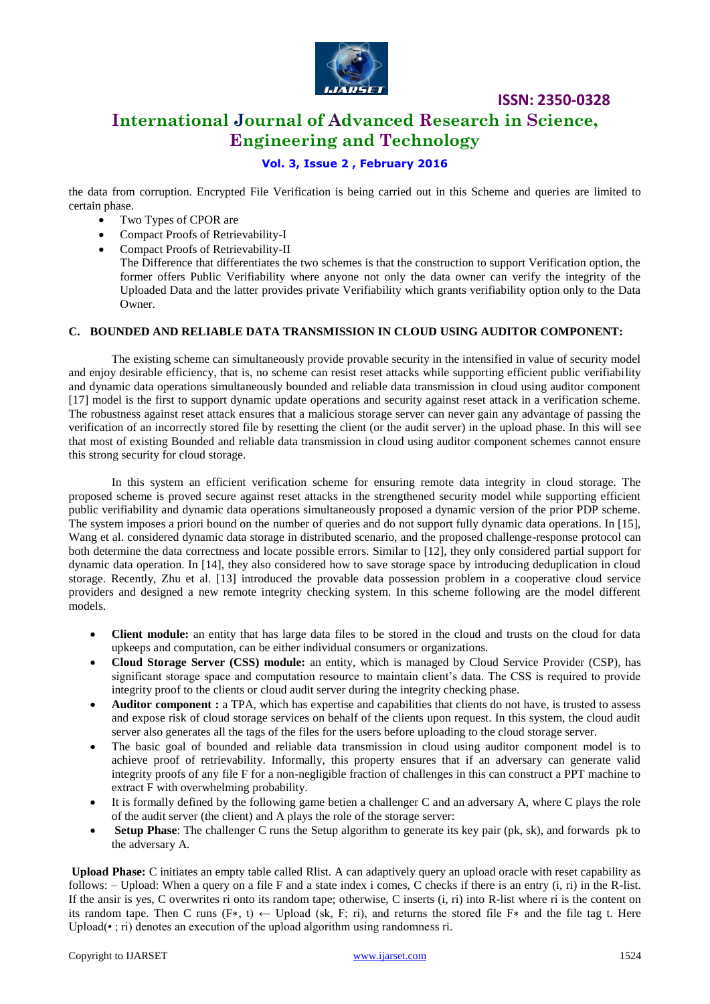

# **International Journal of Advanced Research in Science, Engineering and Technology**

**ISSN: 2350-0328**

#### **Vol. 3, Issue 2 , February 2016**

the data from corruption. Encrypted File Verification is being carried out in this Scheme and queries are limited to certain phase.

- Two Types of CPOR are
- Compact Proofs of Retrievability-I
- Compact Proofs of Retrievability-II
- The Difference that differentiates the two schemes is that the construction to support Verification option, the former offers Public Verifiability where anyone not only the data owner can verify the integrity of the Uploaded Data and the latter provides private Verifiability which grants verifiability option only to the Data Owner.

#### **C. BOUNDED AND RELIABLE DATA TRANSMISSION IN CLOUD USING AUDITOR COMPONENT:**

The existing scheme can simultaneously provide provable security in the intensified in value of security model and enjoy desirable efficiency, that is, no scheme can resist reset attacks while supporting efficient public verifiability and dynamic data operations simultaneously bounded and reliable data transmission in cloud using auditor component [17] model is the first to support dynamic update operations and security against reset attack in a verification scheme. The robustness against reset attack ensures that a malicious storage server can never gain any advantage of passing the verification of an incorrectly stored file by resetting the client (or the audit server) in the upload phase. In this will see that most of existing Bounded and reliable data transmission in cloud using auditor component schemes cannot ensure this strong security for cloud storage.

In this system an efficient verification scheme for ensuring remote data integrity in cloud storage. The proposed scheme is proved secure against reset attacks in the strengthened security model while supporting efficient public verifiability and dynamic data operations simultaneously proposed a dynamic version of the prior PDP scheme. The system imposes a priori bound on the number of queries and do not support fully dynamic data operations. In [15], Wang et al. considered dynamic data storage in distributed scenario, and the proposed challenge-response protocol can both determine the data correctness and locate possible errors. Similar to [12], they only considered partial support for dynamic data operation. In [14], they also considered how to save storage space by introducing deduplication in cloud storage. Recently, Zhu et al. [13] introduced the provable data possession problem in a cooperative cloud service providers and designed a new remote integrity checking system. In this scheme following are the model different models.

- **Client module:** an entity that has large data files to be stored in the cloud and trusts on the cloud for data upkeeps and computation, can be either individual consumers or organizations.
- **Cloud Storage Server (CSS) module:** an entity, which is managed by Cloud Service Provider (CSP), has significant storage space and computation resource to maintain client's data. The CSS is required to provide integrity proof to the clients or cloud audit server during the integrity checking phase.
- **Auditor component :** a TPA, which has expertise and capabilities that clients do not have, is trusted to assess and expose risk of cloud storage services on behalf of the clients upon request. In this system, the cloud audit server also generates all the tags of the files for the users before uploading to the cloud storage server.
- The basic goal of bounded and reliable data transmission in cloud using auditor component model is to achieve proof of retrievability. Informally, this property ensures that if an adversary can generate valid integrity proofs of any file F for a non-negligible fraction of challenges in this can construct a PPT machine to extract F with overwhelming probability.
- It is formally defined by the following game betien a challenger C and an adversary A, where C plays the role of the audit server (the client) and A plays the role of the storage server:
- **Setup Phase**: The challenger C runs the Setup algorithm to generate its key pair (pk, sk), and forwards pk to the adversary A.

**Upload Phase:** C initiates an empty table called Rlist. A can adaptively query an upload oracle with reset capability as follows: – Upload: When a query on a file F and a state index i comes, C checks if there is an entry  $(i, ri)$  in the R-list. If the ansir is yes, C overwrites ri onto its random tape; otherwise, C inserts (i, ri) into R-list where ri is the content on its random tape. Then C runs (F<sup>\*</sup>, t) ← Upload (sk, F; ri), and returns the stored file F<sup>\*</sup> and the file tag t. Here Upload( $\cdot$ ; ri) denotes an execution of the upload algorithm using randomness ri.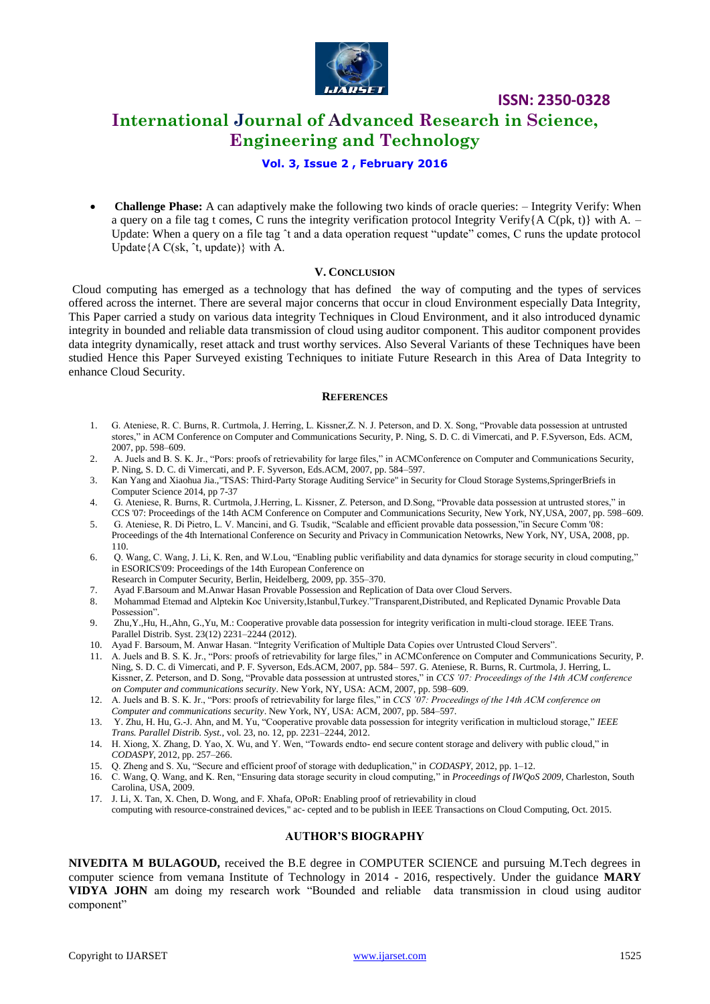

## **International Journal of Advanced Research in Science, Engineering and Technology**

#### **Vol. 3, Issue 2 , February 2016**

 **Challenge Phase:** A can adaptively make the following two kinds of oracle queries: – Integrity Verify: When a query on a file tag t comes, C runs the integrity verification protocol Integrity Verify ${A C(pk, t)}$  with A. – Update: When a query on a file tag ˆt and a data operation request "update" comes, C runs the update protocol Update ${A C(sk, \hat{t}, \text{update})}$  with A.

#### **V. CONCLUSION**

Cloud computing has emerged as a technology that has defined the way of computing and the types of services offered across the internet. There are several major concerns that occur in cloud Environment especially Data Integrity, This Paper carried a study on various data integrity Techniques in Cloud Environment, and it also introduced dynamic integrity in bounded and reliable data transmission of cloud using auditor component. This auditor component provides data integrity dynamically, reset attack and trust worthy services. Also Several Variants of these Techniques have been studied Hence this Paper Surveyed existing Techniques to initiate Future Research in this Area of Data Integrity to enhance Cloud Security.

#### **REFERENCES**

- 1. G. Ateniese, R. C. Burns, R. Curtmola, J. Herring, L. Kissner,Z. N. J. Peterson, and D. X. Song, "Provable data possession at untrusted stores," in ACM Conference on Computer and Communications Security, P. Ning, S. D. C. di Vimercati, and P. F.Syverson, Eds. ACM, 2007, pp. 598–609.
- 2. A. Juels and B. S. K. Jr., "Pors: proofs of retrievability for large files," in ACMConference on Computer and Communications Security, P. Ning, S. D. C. di Vimercati, and P. F. Syverson, Eds.ACM, 2007, pp. 584–597.
- 3. Kan Yang and Xiaohua Jia.,"TSAS: Third-Party Storage Auditing Service" in Security for Cloud Storage Systems,SpringerBriefs in Computer Science 2014, pp 7-37
- 4. G. Ateniese, R. Burns, R. Curtmola, J.Herring, L. Kissner, Z. Peterson, and D.Song, "Provable data possession at untrusted stores," in CCS '07: Proceedings of the 14th ACM Conference on Computer and Communications Security, New York, NY,USA, 2007, pp. 598–609.
- 5. G. Ateniese, R. Di Pietro, L. V. Mancini, and G. Tsudik, "Scalable and efficient provable data possession,"in Secure Comm '08: Proceedings of the 4th International Conference on Security and Privacy in Communication Netowrks, New York, NY, USA, 2008, pp. 110.
- 6. Q. Wang, C. Wang, J. Li, K. Ren, and W.Lou, "Enabling public verifiability and data dynamics for storage security in cloud computing," in ESORICS'09: Proceedings of the 14th European Conference on
- Research in Computer Security, Berlin, Heidelberg, 2009, pp. 355–370.
- 7. Ayad F.Barsoum and M.Anwar Hasan Provable Possession and Replication of Data over Cloud Servers.
- 8. Mohammad Etemad and Alptekin Koc University, Istanbul, Turkey. Transparent, Distributed, and Replicated Dynamic Provable Data Possession".
- 9. Zhu,Y.,Hu, H.,Ahn, G.,Yu, M.: Cooperative provable data possession for integrity verification in multi-cloud storage. IEEE Trans. Parallel Distrib. Syst. 23(12) 2231–2244 (2012).
- 10. Ayad F. Barsoum, M. Anwar Hasan. "Integrity Verification of Multiple Data Copies over Untrusted Cloud Servers".
- 11. A. Juels and B. S. K. Jr., "Pors: proofs of retrievability for large files," in ACMConference on Computer and Communications Security, P. Ning, S. D. C. di Vimercati, and P. F. Syverson, Eds.ACM, 2007, pp. 584– 597. G. Ateniese, R. Burns, R. Curtmola, J. Herring, L. Kissner, Z. Peterson, and D. Song, "Provable data possession at untrusted stores," in *CCS '07: Proceedings of the 14th ACM conference on Computer and communications security*. New York, NY, USA: ACM, 2007, pp. 598–609.
- 12. A. Juels and B. S. K. Jr., "Pors: proofs of retrievability for large files," in *CCS '07: Proceedings of the 14th ACM conference on Computer and communications security*. New York, NY, USA: ACM, 2007, pp. 584–597.
- 13. Y. Zhu, H. Hu, G.-J. Ahn, and M. Yu, "Cooperative provable data possession for integrity verification in multicloud storage," *IEEE Trans. Parallel Distrib. Syst.*, vol. 23, no. 12, pp. 2231–2244, 2012.
- 14. H. Xiong, X. Zhang, D. Yao, X. Wu, and Y. Wen, "Towards endto- end secure content storage and delivery with public cloud," in *CODASPY*, 2012, pp. 257–266.
- 15. Q. Zheng and S. Xu, "Secure and efficient proof of storage with deduplication," in *CODASPY*, 2012, pp. 1–12.
- 16. C. Wang, Q. Wang, and K. Ren, "Ensuring data storage security in cloud computing," in *Proceedings of IWQoS 2009*, Charleston, South Carolina, USA, 2009.
- 17. J. Li, X. Tan, X. Chen, D. Wong, and F. Xhafa, OPoR: Enabling proof of retrievability in cloud computing with resource-constrained devices," ac- cepted and to be publish in IEEE Transactions on Cloud Computing, Oct. 2015.

#### **AUTHOR'S BIOGRAPHY**

**NIVEDITA M BULAGOUD,** received the B.E degree in COMPUTER SCIENCE and pursuing M.Tech degrees in computer science from vemana Institute of Technology in 2014 - 2016, respectively. Under the guidance **MARY VIDYA JOHN** am doing my research work "Bounded and reliable data transmission in cloud using auditor component"